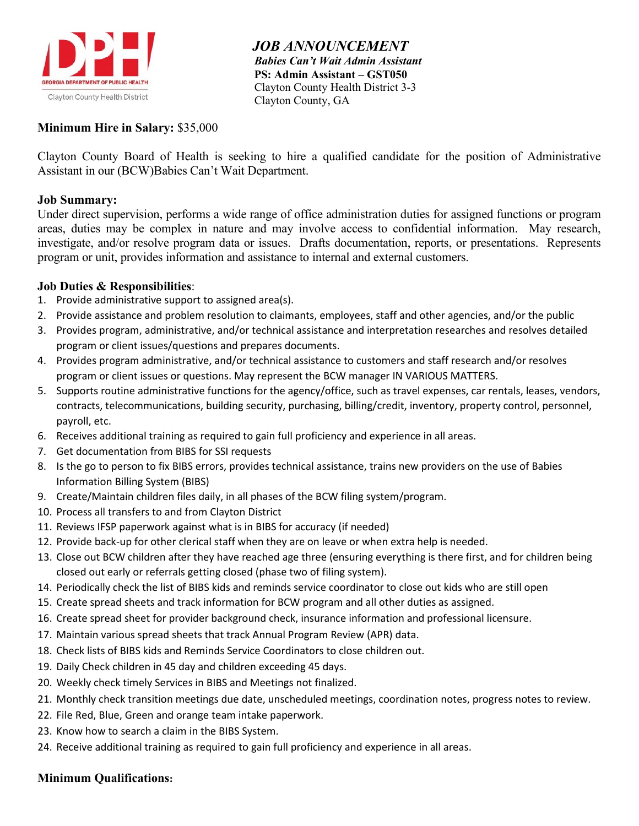

 *JOB ANNOUNCEMENT Babies Can't Wait Admin Assistant*  **PS: Admin Assistant – GST050** Clayton County Health District 3-3 Clayton County, GA

### **Minimum Hire in Salary:** \$35,000

Clayton County Board of Health is seeking to hire a qualified candidate for the position of Administrative Assistant in our (BCW)Babies Can't Wait Department.

#### **Job Summary:**

Under direct supervision, performs a wide range of office administration duties for assigned functions or program areas, duties may be complex in nature and may involve access to confidential information. May research, investigate, and/or resolve program data or issues. Drafts documentation, reports, or presentations. Represents program or unit, provides information and assistance to internal and external customers.

#### **Job Duties & Responsibilities**:

- 1. Provide administrative support to assigned area(s).
- 2. Provide assistance and problem resolution to claimants, employees, staff and other agencies, and/or the public
- 3. Provides program, administrative, and/or technical assistance and interpretation researches and resolves detailed program or client issues/questions and prepares documents.
- 4. Provides program administrative, and/or technical assistance to customers and staff research and/or resolves program or client issues or questions. May represent the BCW manager IN VARIOUS MATTERS.
- 5. Supports routine administrative functions for the agency/office, such as travel expenses, car rentals, leases, vendors, contracts, telecommunications, building security, purchasing, billing/credit, inventory, property control, personnel, payroll, etc.
- 6. Receives additional training as required to gain full proficiency and experience in all areas.
- 7. Get documentation from BIBS for SSI requests
- 8. Is the go to person to fix BIBS errors, provides technical assistance, trains new providers on the use of Babies Information Billing System (BIBS)
- 9. Create/Maintain children files daily, in all phases of the BCW filing system/program.
- 10. Process all transfers to and from Clayton District
- 11. Reviews IFSP paperwork against what is in BIBS for accuracy (if needed)
- 12. Provide back-up for other clerical staff when they are on leave or when extra help is needed.
- 13. Close out BCW children after they have reached age three (ensuring everything is there first, and for children being closed out early or referrals getting closed (phase two of filing system).
- 14. Periodically check the list of BIBS kids and reminds service coordinator to close out kids who are still open
- 15. Create spread sheets and track information for BCW program and all other duties as assigned.
- 16. Create spread sheet for provider background check, insurance information and professional licensure.
- 17. Maintain various spread sheets that track Annual Program Review (APR) data.
- 18. Check lists of BIBS kids and Reminds Service Coordinators to close children out.
- 19. Daily Check children in 45 day and children exceeding 45 days.
- 20. Weekly check timely Services in BIBS and Meetings not finalized.
- 21. Monthly check transition meetings due date, unscheduled meetings, coordination notes, progress notes to review.
- 22. File Red, Blue, Green and orange team intake paperwork.
- 23. Know how to search a claim in the BIBS System.
- 24. Receive additional training as required to gain full proficiency and experience in all areas.

#### **Minimum Qualifications:**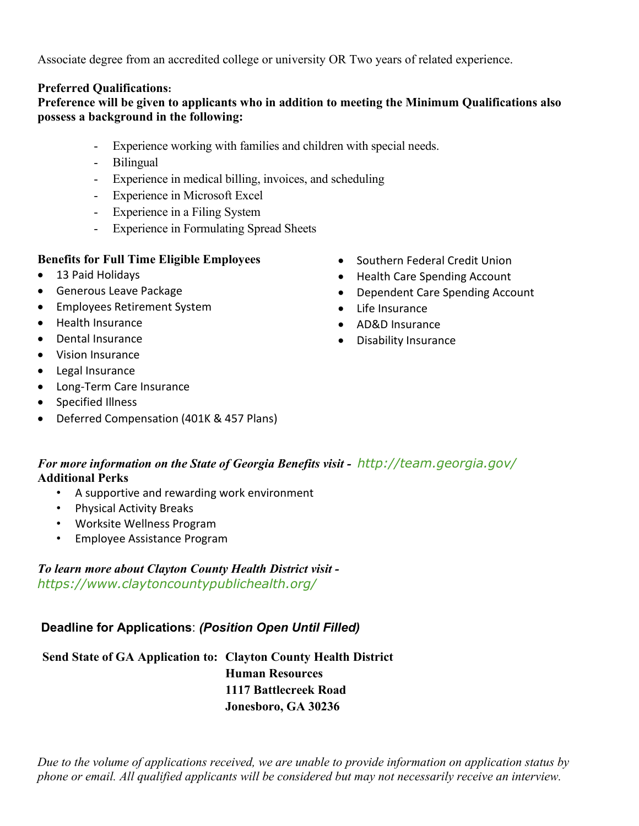Associate degree from an accredited college or university OR Two years of related experience.

## **Preferred Qualifications:**

## **Preference will be given to applicants who in addition to meeting the Minimum Qualifications also possess a background in the following:**

- Experience working with families and children with special needs.
- Bilingual
- Experience in medical billing, invoices, and scheduling
- Experience in Microsoft Excel
- Experience in a Filing System
- Experience in Formulating Spread Sheets

### **Benefits for Full Time Eligible Employees**

- 13 Paid Holidays
- Generous Leave Package
- Employees Retirement System
- Health Insurance
- Dental Insurance
- Vision Insurance
- Legal Insurance
- Long-Term Care Insurance
- Specified Illness
- Deferred Compensation (401K & 457 Plans)
- Southern Federal Credit Union
- Health Care Spending Account
- Dependent Care Spending Account
- Life Insurance
- AD&D Insurance
- Disability Insurance

## *For more information on the State of Georgia Benefits visit - <http://team.georgia.gov/>* **Additional Perks**

- A supportive and rewarding work environment
- Physical Activity Breaks
- Worksite Wellness Program
- Employee Assistance Program

*To learn more about Clayton County Health District visit <https://www.claytoncountypublichealth.org/>*

# **Deadline for Applications**: *(Position Open Until Filled)*

**Send State of GA Application to: Clayton County Health District Human Resources 1117 Battlecreek Road Jonesboro, GA 30236**

*Due to the volume of applications received, we are unable to provide information on application status by phone or email. All qualified applicants will be considered but may not necessarily receive an interview.*